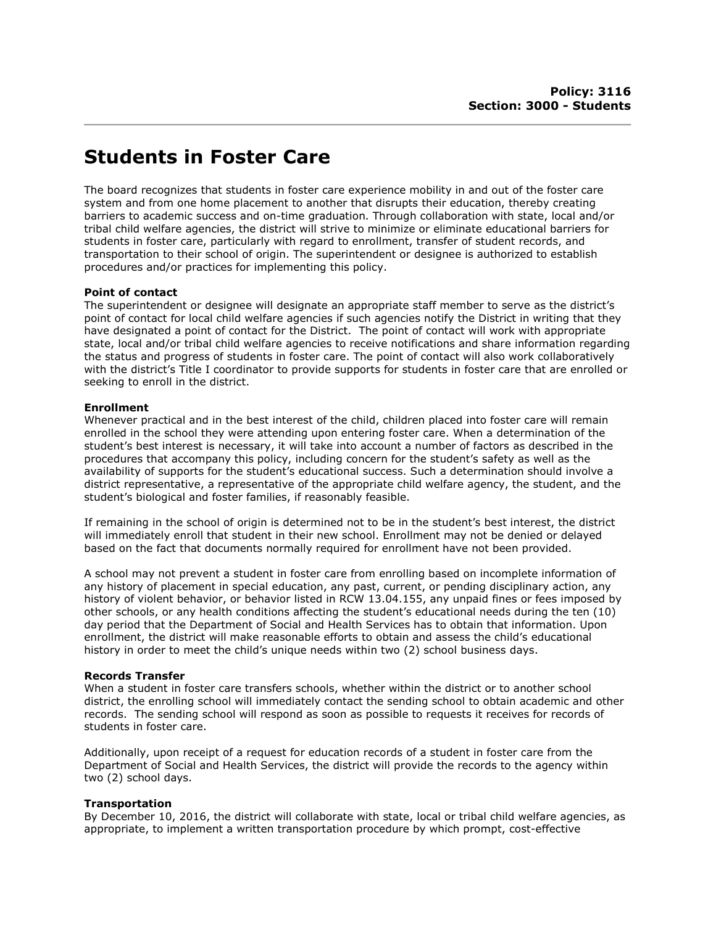# Students in Foster Care

The board recognizes that students in foster care experience mobility in and out of the foster care system and from one home placement to another that disrupts their education, thereby creating barriers to academic success and on-time graduation. Through collaboration with state, local and/or tribal child welfare agencies, the district will strive to minimize or eliminate educational barriers for students in foster care, particularly with regard to enrollment, transfer of student records, and transportation to their school of origin. The superintendent or designee is authorized to establish procedures and/or practices for implementing this policy.

## Point of contact

The superintendent or designee will designate an appropriate staff member to serve as the district's point of contact for local child welfare agencies if such agencies notify the District in writing that they have designated a point of contact for the District. The point of contact will work with appropriate state, local and/or tribal child welfare agencies to receive notifications and share information regarding the status and progress of students in foster care. The point of contact will also work collaboratively with the district's Title I coordinator to provide supports for students in foster care that are enrolled or seeking to enroll in the district.

#### Enrollment

Whenever practical and in the best interest of the child, children placed into foster care will remain enrolled in the school they were attending upon entering foster care. When a determination of the student's best interest is necessary, it will take into account a number of factors as described in the procedures that accompany this policy, including concern for the student's safety as well as the availability of supports for the student's educational success. Such a determination should involve a district representative, a representative of the appropriate child welfare agency, the student, and the student's biological and foster families, if reasonably feasible.

If remaining in the school of origin is determined not to be in the student's best interest, the district will immediately enroll that student in their new school. Enrollment may not be denied or delayed based on the fact that documents normally required for enrollment have not been provided.

A school may not prevent a student in foster care from enrolling based on incomplete information of any history of placement in special education, any past, current, or pending disciplinary action, any history of violent behavior, or behavior listed in RCW 13.04.155, any unpaid fines or fees imposed by other schools, or any health conditions affecting the student's educational needs during the ten (10) day period that the Department of Social and Health Services has to obtain that information. Upon enrollment, the district will make reasonable efforts to obtain and assess the child's educational history in order to meet the child's unique needs within two (2) school business days.

#### Records Transfer

When a student in foster care transfers schools, whether within the district or to another school district, the enrolling school will immediately contact the sending school to obtain academic and other records. The sending school will respond as soon as possible to requests it receives for records of students in foster care.

Additionally, upon receipt of a request for education records of a student in foster care from the Department of Social and Health Services, the district will provide the records to the agency within two (2) school days.

#### Transportation

By December 10, 2016, the district will collaborate with state, local or tribal child welfare agencies, as appropriate, to implement a written transportation procedure by which prompt, cost-effective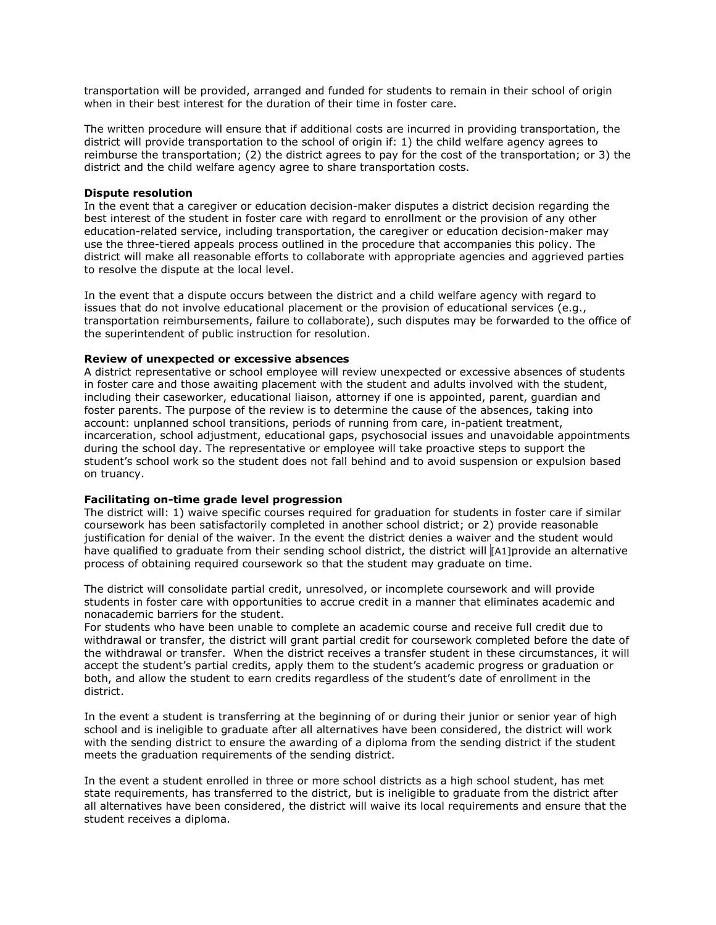transportation will be provided, arranged and funded for students to remain in their school of origin when in their best interest for the duration of their time in foster care.

The written procedure will ensure that if additional costs are incurred in providing transportation, the district will provide transportation to the school of origin if: 1) the child welfare agency agrees to reimburse the transportation; (2) the district agrees to pay for the cost of the transportation; or 3) the district and the child welfare agency agree to share transportation costs.

#### Dispute resolution

In the event that a caregiver or education decision-maker disputes a district decision regarding the best interest of the student in foster care with regard to enrollment or the provision of any other education-related service, including transportation, the caregiver or education decision-maker may use the three-tiered appeals process outlined in the procedure that accompanies this policy. The district will make all reasonable efforts to collaborate with appropriate agencies and aggrieved parties to resolve the dispute at the local level.

In the event that a dispute occurs between the district and a child welfare agency with regard to issues that do not involve educational placement or the provision of educational services (e.g., transportation reimbursements, failure to collaborate), such disputes may be forwarded to the office of the superintendent of public instruction for resolution.

### Review of unexpected or excessive absences

A district representative or school employee will review unexpected or excessive absences of students in foster care and those awaiting placement with the student and adults involved with the student, including their caseworker, educational liaison, attorney if one is appointed, parent, guardian and foster parents. The purpose of the review is to determine the cause of the absences, taking into account: unplanned school transitions, periods of running from care, in-patient treatment, incarceration, school adjustment, educational gaps, psychosocial issues and unavoidable appointments during the school day. The representative or employee will take proactive steps to support the student's school work so the student does not fall behind and to avoid suspension or expulsion based on truancy.

#### Facilitating on-time grade level progression

The district will: 1) waive specific courses required for graduation for students in foster care if similar coursework has been satisfactorily completed in another school district; or 2) provide reasonable justification for denial of the waiver. In the event the district denies a waiver and the student would have qualified to graduate from their sending school district, the district will [A1]provide an alternative process of obtaining required coursework so that the student may graduate on time.

The district will consolidate partial credit, unresolved, or incomplete coursework and will provide students in foster care with opportunities to accrue credit in a manner that eliminates academic and nonacademic barriers for the student.

For students who have been unable to complete an academic course and receive full credit due to withdrawal or transfer, the district will grant partial credit for coursework completed before the date of the withdrawal or transfer. When the district receives a transfer student in these circumstances, it will accept the student's partial credits, apply them to the student's academic progress or graduation or both, and allow the student to earn credits regardless of the student's date of enrollment in the district.

In the event a student is transferring at the beginning of or during their junior or senior year of high school and is ineligible to graduate after all alternatives have been considered, the district will work with the sending district to ensure the awarding of a diploma from the sending district if the student meets the graduation requirements of the sending district.

In the event a student enrolled in three or more school districts as a high school student, has met state requirements, has transferred to the district, but is ineligible to graduate from the district after all alternatives have been considered, the district will waive its local requirements and ensure that the student receives a diploma.